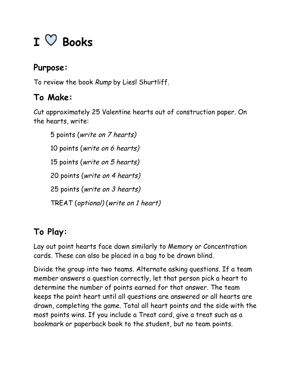## **I Books**

## **Purpose:**

To review the book Rump by Liesl Shurtliff.

## **To Make:**

Cut approximately 25 Valentine hearts out of construction paper. On the hearts, write:

 points (write on 7 hearts) points (write on 6 hearts) points (write on 5 hearts) points (write on 4 hearts) points (write on 3 hearts) TREAT (optional) (write on 1 heart)

## **To Play:**

Lay out point hearts face down similarly to Memory or Concentration cards. These can also be placed in a bag to be drawn blind.

Divide the group into two teams. Alternate asking questions. If a team member answers a question correctly, let that person pick a heart to determine the number of points earned for that answer. The team keeps the point heart until all questions are answered or all hearts are drawn, completing the game. Total all heart points and the side with the most points wins. If you include a Treat card, give a treat such as a bookmark or paperback book to the student, but no team points.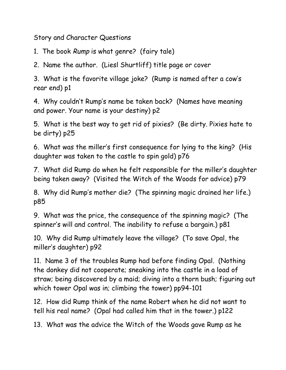Story and Character Questions

1. The book Rump is what genre? (fairy tale)

2. Name the author. (Liesl Shurtliff) title page or cover

3. What is the favorite village joke? (Rump is named after a cow's rear end) p1

4. Why couldn't Rump's name be taken back? (Names have meaning and power. Your name is your destiny) p2

5. What is the best way to get rid of pixies? (Be dirty. Pixies hate to be dirty) p25

6. What was the miller's first consequence for lying to the king? (His daughter was taken to the castle to spin gold) p76

7. What did Rump do when he felt responsible for the miller's daughter being taken away? (Visited the Witch of the Woods for advice) p79

8. Why did Rump's mother die? (The spinning magic drained her life.) p85

9. What was the price, the consequence of the spinning magic? (The spinner's will and control. The inability to refuse a bargain.) p81

10. Why did Rump ultimately leave the village? (To save Opal, the miller's daughter) p92

11. Name 3 of the troubles Rump had before finding Opal. (Nothing the donkey did not cooperate; sneaking into the castle in a load of straw; being discovered by a maid; diving into a thorn bush; figuring out which tower Opal was in; climbing the tower) pp94-101

12. How did Rump think of the name Robert when he did not want to tell his real name? (Opal had called him that in the tower.) p122

13. What was the advice the Witch of the Woods gave Rump as he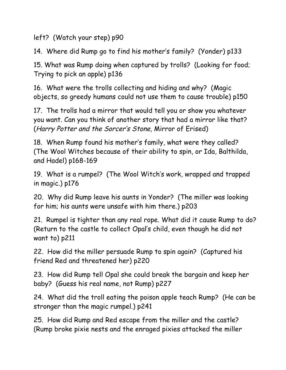left? (Watch your step) p90

14. Where did Rump go to find his mother's family? (Yonder) p133

15. What was Rump doing when captured by trolls? (Looking for food; Trying to pick an apple) p136

16. What were the trolls collecting and hiding and why? (Magic objects, so greedy humans could not use them to cause trouble) p150

17. The trolls had a mirror that would tell you or show you whatever you want. Can you think of another story that had a mirror like that? (Harry Potter and the Sorcer's Stone, Mirror of Erised)

18. When Rump found his mother's family, what were they called? (The Wool Witches because of their ability to spin, or Ida, Balthilda, and Hadel) p168-169

19. What is a rumpel? (The Wool Witch's work, wrapped and trapped in magic.) p176

20. Why did Rump leave his aunts in Yonder? (The miller was looking for him; his aunts were unsafe with him there.) p203

21. Rumpel is tighter than any real rope. What did it cause Rump to do? (Return to the castle to collect Opal's child, even though he did not want to) p211

22. How did the miller persuade Rump to spin again? (Captured his friend Red and threatened her) p220

23. How did Rump tell Opal she could break the bargain and keep her baby? (Guess his real name, not Rump) p227

24. What did the troll eating the poison apple teach Rump? (He can be stronger than the magic rumpel.) p241

25. How did Rump and Red escape from the miller and the castle? (Rump broke pixie nests and the enraged pixies attacked the miller